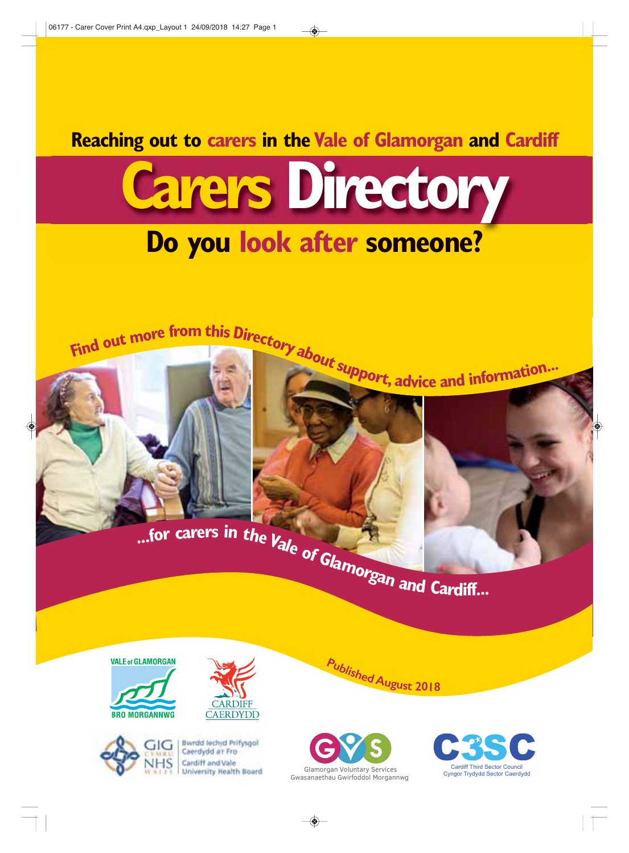**Reaching out to carers in the Vale of Glamorgan and Cardiff**











Bwrdd lechyd Prifysgol Caerdydd a'r Fro Cardiff and Vale University Realth Board





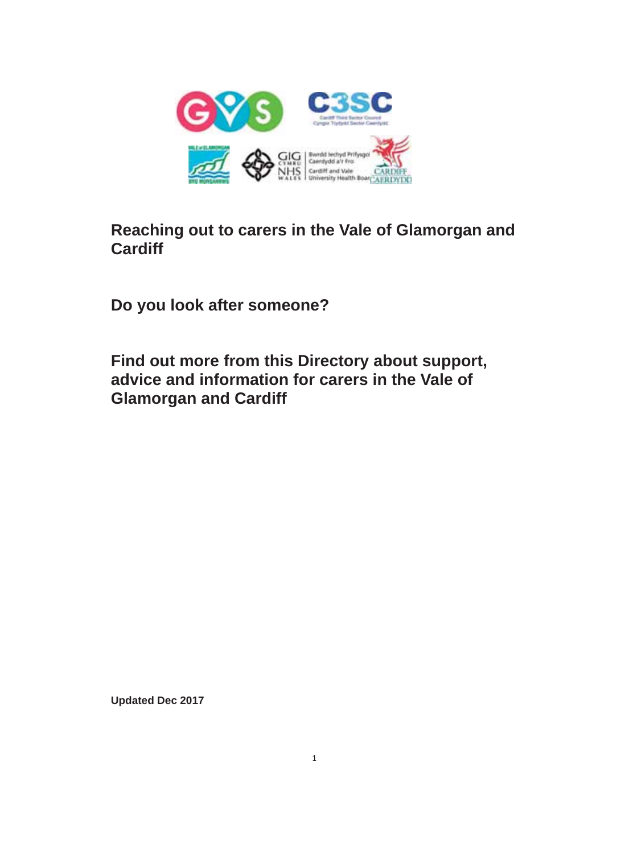

# **Reaching out to carers in the Vale of Glamorgan and Cardiff**

**Do you look after someone?**

**Find out more from this Directory about support, advice and information for carers in the Vale of Glamorgan and Cardiff**

**Updated Dec 2017**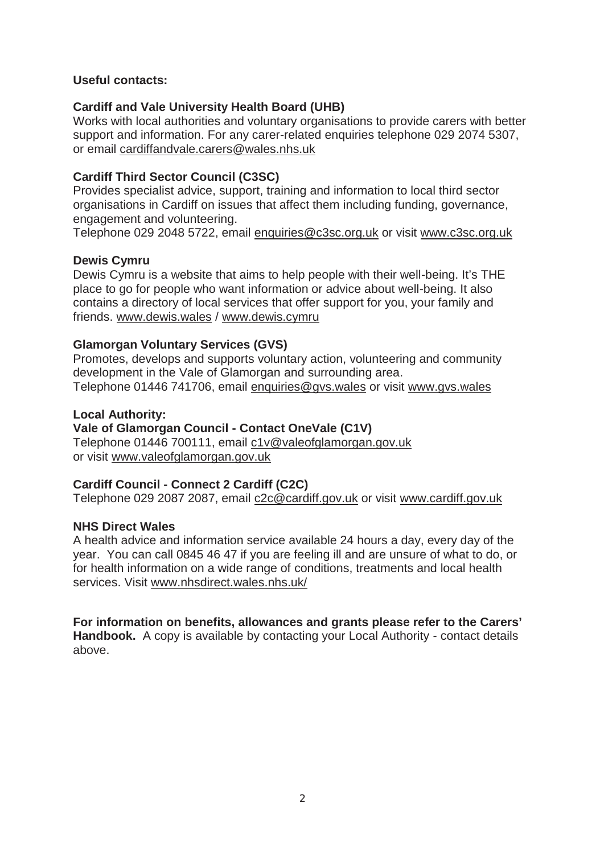#### **Useful contacts:**

#### **Cardiff and Vale University Health Board (UHB)**

Works with local authorities and voluntary organisations to provide carers with better support and information. For any carer-related enquiries telephone 029 2074 5307, or email cardiffandvale.carers@wales.nhs.uk

#### **Cardiff Third Sector Council (C3SC)**

Provides specialist advice, support, training and information to local third sector organisations in Cardiff on issues that affect them including funding, governance, engagement and volunteering.

Telephone 029 2048 5722, email enquiries@c3sc.org.uk or visit www.c3sc.org.uk

## **Dewis Cymru**

Dewis Cymru is a website that aims to help people with their well-being. It's THE place to go for people who want information or advice about well-being. It also contains a directory of local services that offer support for you, your family and friends. www.dewis.wales / www.dewis.cymru

#### **Glamorgan Voluntary Services (GVS)**

Promotes, develops and supports voluntary action, volunteering and community development in the Vale of Glamorgan and surrounding area. Telephone 01446 741706, email enquiries@gvs.wales or visit www.gvs.wales

#### **Local Authority:**

#### **Vale of Glamorgan Council - Contact OneVale (C1V)**

Telephone 01446 700111, email c1v@valeofglamorgan.gov.uk or visit www.valeofglamorgan.gov.uk

## **Cardiff Council - Connect 2 Cardiff (C2C)**

Telephone 029 2087 2087, email c2c@cardiff.gov.uk or visit www.cardiff.gov.uk

#### **NHS Direct Wales**

A health advice and information service available 24 hours a day, every day of the year. You can call 0845 46 47 if you are feeling ill and are unsure of what to do, or for health information on a wide range of conditions, treatments and local health services. Visit www.nhsdirect.wales.nhs.uk/

**For information on benefits, allowances and grants please refer to the Carers' Handbook.** A copy is available by contacting your Local Authority - contact details above.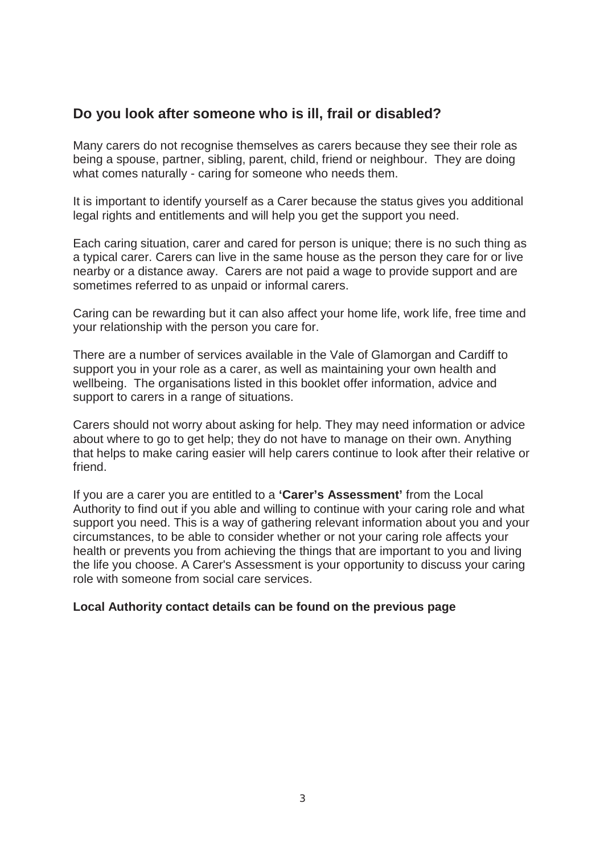## **Do you look after someone who is ill, frail or disabled?**

Many carers do not recognise themselves as carers because they see their role as being a spouse, partner, sibling, parent, child, friend or neighbour. They are doing what comes naturally - caring for someone who needs them.

It is important to identify yourself as a Carer because the status gives you additional legal rights and entitlements and will help you get the support you need.

Each caring situation, carer and cared for person is unique; there is no such thing as a typical carer. Carers can live in the same house as the person they care for or live nearby or a distance away. Carers are not paid a wage to provide support and are sometimes referred to as unpaid or informal carers.

Caring can be rewarding but it can also affect your home life, work life, free time and your relationship with the person you care for.

There are a number of services available in the Vale of Glamorgan and Cardiff to support you in your role as a carer, as well as maintaining your own health and wellbeing. The organisations listed in this booklet offer information, advice and support to carers in a range of situations.

Carers should not worry about asking for help. They may need information or advice about where to go to get help; they do not have to manage on their own. Anything that helps to make caring easier will help carers continue to look after their relative or friend.

If you are a carer you are entitled to a **'Carer's Assessment'** from the Local Authority to find out if you able and willing to continue with your caring role and what support you need. This is a way of gathering relevant information about you and your circumstances, to be able to consider whether or not your caring role affects your health or prevents you from achieving the things that are important to you and living the life you choose. A Carer's Assessment is your opportunity to discuss your caring role with someone from social care services.

#### **Local Authority contact details can be found on the previous page**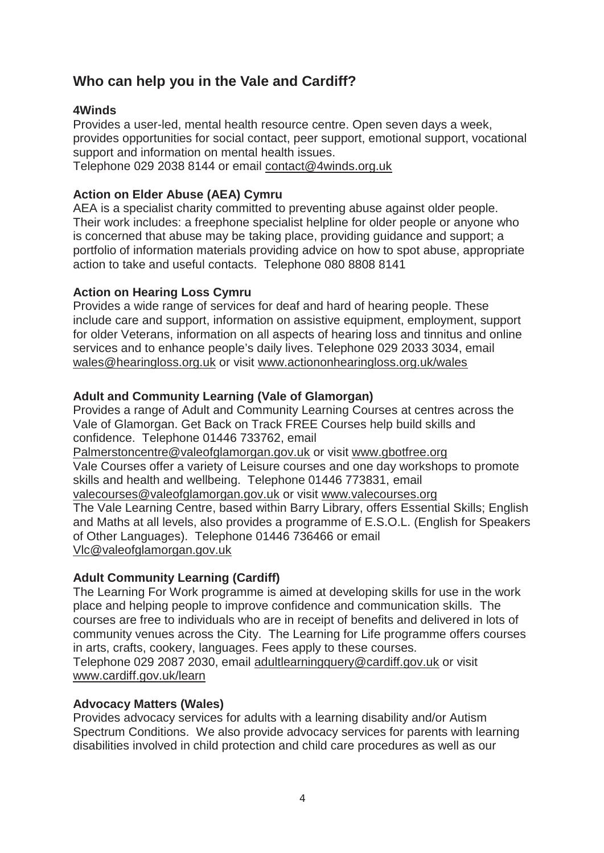## **Who can help you in the Vale and Cardiff?**

## **4Winds**

Provides a user-led, mental health resource centre. Open seven days a week, provides opportunities for social contact, peer support, emotional support, vocational support and information on mental health issues. Telephone 029 2038 8144 or email contact@4winds.org.uk

## **Action on Elder Abuse (AEA) Cymru**

AEA is a specialist charity committed to preventing abuse against older people. Their work includes: a freephone specialist helpline for older people or anyone who is concerned that abuse may be taking place, providing guidance and support; a portfolio of information materials providing advice on how to spot abuse, appropriate action to take and useful contacts. Telephone 080 8808 8141

## **Action on Hearing Loss Cymru**

Provides a wide range of services for deaf and hard of hearing people. These include care and support, information on assistive equipment, employment, support for older Veterans, information on all aspects of hearing loss and tinnitus and online services and to enhance people's daily lives. Telephone 029 2033 3034, email wales@hearingloss.org.uk or visit www.actiononhearingloss.org.uk/wales

## **Adult and Community Learning (Vale of Glamorgan)**

Provides a range of Adult and Community Learning Courses at centres across the Vale of Glamorgan. Get Back on Track FREE Courses help build skills and confidence. Telephone 01446 733762, email

Palmerstoncentre@valeofglamorgan.gov.uk or visit www.gbotfree.org Vale Courses offer a variety of Leisure courses and one day workshops to promote skills and health and wellbeing. Telephone 01446 773831, email valecourses@valeofglamorgan.gov.uk or visit www.valecourses.org The Vale Learning Centre, based within Barry Library, offers Essential Skills; English and Maths at all levels, also provides a programme of E.S.O.L. (English for Speakers of Other Languages). Telephone 01446 736466 or email Vlc@valeofglamorgan.gov.uk

#### **Adult Community Learning (Cardiff)**

The Learning For Work programme is aimed at developing skills for use in the work place and helping people to improve confidence and communication skills. The courses are free to individuals who are in receipt of benefits and delivered in lots of community venues across the City. The Learning for Life programme offers courses in arts, crafts, cookery, languages. Fees apply to these courses. Telephone 029 2087 2030, email adultlearningquery@cardiff.gov.uk or visit www.cardiff.gov.uk/learn

#### **Advocacy Matters (Wales)**

Provides advocacy services for adults with a learning disability and/or Autism Spectrum Conditions. We also provide advocacy services for parents with learning disabilities involved in child protection and child care procedures as well as our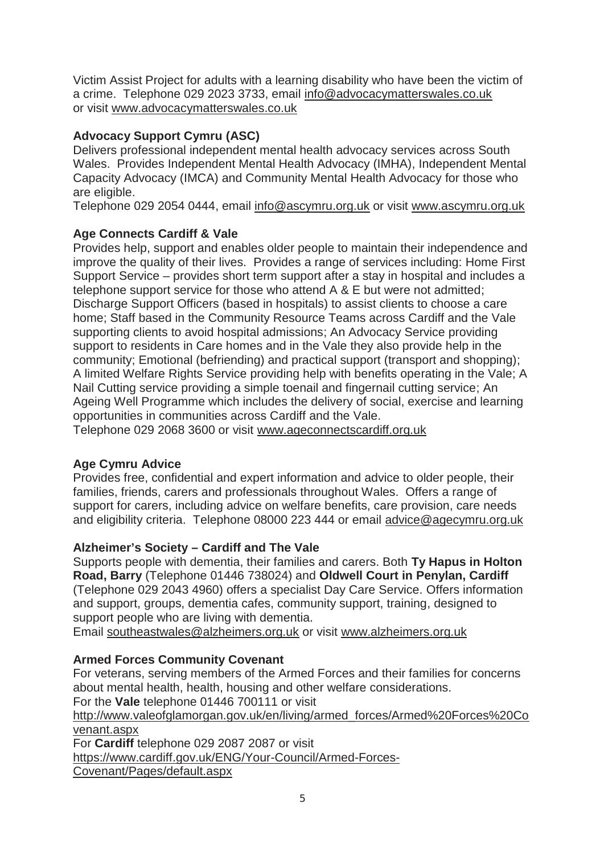Victim Assist Project for adults with a learning disability who have been the victim of a crime. Telephone 029 2023 3733, email info@advocacymatterswales.co.uk or visit www.advocacymatterswales.co.uk

## **Advocacy Support Cymru (ASC)**

Delivers professional independent mental health advocacy services across South Wales. Provides Independent Mental Health Advocacy (IMHA), Independent Mental Capacity Advocacy (IMCA) and Community Mental Health Advocacy for those who are eligible.

Telephone 029 2054 0444, email info@ascymru.org.uk or visit www.ascymru.org.uk

## **Age Connects Cardiff & Vale**

Provides help, support and enables older people to maintain their independence and improve the quality of their lives. Provides a range of services including: Home First Support Service – provides short term support after a stay in hospital and includes a telephone support service for those who attend A & E but were not admitted; Discharge Support Officers (based in hospitals) to assist clients to choose a care home; Staff based in the Community Resource Teams across Cardiff and the Vale supporting clients to avoid hospital admissions; An Advocacy Service providing support to residents in Care homes and in the Vale they also provide help in the community; Emotional (befriending) and practical support (transport and shopping); A limited Welfare Rights Service providing help with benefits operating in the Vale; A Nail Cutting service providing a simple toenail and fingernail cutting service; An Ageing Well Programme which includes the delivery of social, exercise and learning opportunities in communities across Cardiff and the Vale.

Telephone 029 2068 3600 or visit www.ageconnectscardiff.org.uk

## **Age Cymru Advice**

Provides free, confidential and expert information and advice to older people, their families, friends, carers and professionals throughout Wales. Offers a range of support for carers, including advice on welfare benefits, care provision, care needs and eligibility criteria. Telephone 08000 223 444 or email advice@agecymru.org.uk

## **Alzheimer's Society – Cardiff and The Vale**

Supports people with dementia, their families and carers. Both **Ty Hapus in Holton Road, Barry** (Telephone 01446 738024) and **Oldwell Court in Penylan, Cardiff**  (Telephone 029 2043 4960) offers a specialist Day Care Service. Offers information and support, groups, dementia cafes, community support, training, designed to support people who are living with dementia.

Email southeastwales@alzheimers.org.uk or visit www.alzheimers.org.uk

## **Armed Forces Community Covenant**

For veterans, serving members of the Armed Forces and their families for concerns about mental health, health, housing and other welfare considerations. For the **Vale** telephone 01446 700111 or visit http://www.valeofglamorgan.gov.uk/en/living/armed\_forces/Armed%20Forces%20Co venant.aspx For **Cardiff** telephone 029 2087 2087 or visit https://www.cardiff.gov.uk/ENG/Your-Council/Armed-Forces-Covenant/Pages/default.aspx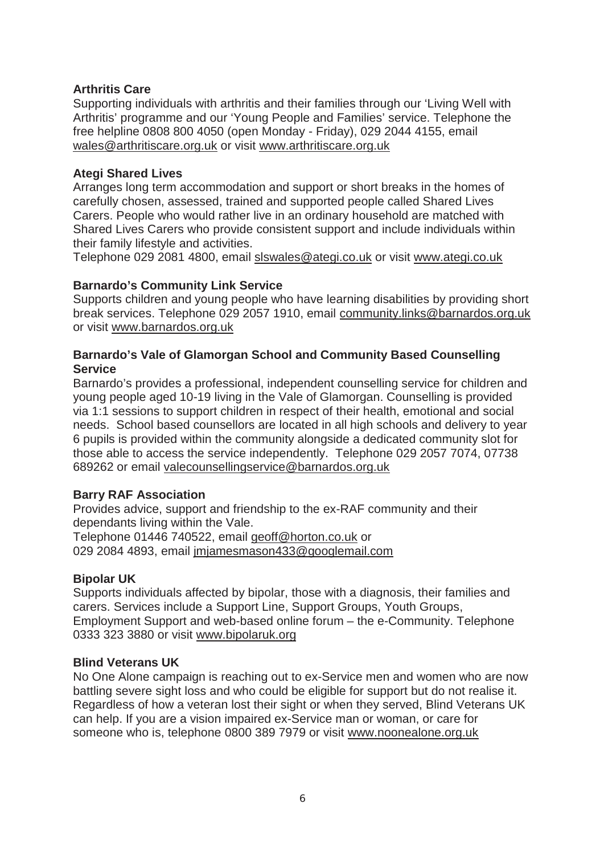#### **Arthritis Care**

Supporting individuals with arthritis and their families through our 'Living Well with Arthritis' programme and our 'Young People and Families' service. Telephone the free helpline 0808 800 4050 (open Monday - Friday), 029 2044 4155, email wales@arthritiscare.org.uk or visit www.arthritiscare.org.uk

#### **Ategi Shared Lives**

Arranges long term accommodation and support or short breaks in the homes of carefully chosen, assessed, trained and supported people called Shared Lives Carers. People who would rather live in an ordinary household are matched with Shared Lives Carers who provide consistent support and include individuals within their family lifestyle and activities.

Telephone 029 2081 4800, email slswales@ategi.co.uk or visit www.ategi.co.uk

#### **Barnardo's Community Link Service**

Supports children and young people who have learning disabilities by providing short break services. Telephone 029 2057 1910, email community.links@barnardos.org.uk or visit www.barnardos.org.uk

#### **Barnardo's Vale of Glamorgan School and Community Based Counselling Service**

Barnardo's provides a professional, independent counselling service for children and young people aged 10-19 living in the Vale of Glamorgan. Counselling is provided via 1:1 sessions to support children in respect of their health, emotional and social needs. School based counsellors are located in all high schools and delivery to year 6 pupils is provided within the community alongside a dedicated community slot for those able to access the service independently. Telephone 029 2057 7074, 07738 689262 or email valecounsellingservice@barnardos.org.uk

#### **Barry RAF Association**

Provides advice, support and friendship to the ex-RAF community and their dependants living within the Vale. Telephone 01446 740522, email geoff@horton.co.uk or 029 2084 4893, email jmjamesmason433@googlemail.com

#### **Bipolar UK**

Supports individuals affected by bipolar, those with a diagnosis, their families and carers. Services include a Support Line, Support Groups, Youth Groups, Employment Support and web-based online forum – the e-Community. Telephone 0333 323 3880 or visit www.bipolaruk.org

#### **Blind Veterans UK**

No One Alone campaign is reaching out to ex-Service men and women who are now battling severe sight loss and who could be eligible for support but do not realise it. Regardless of how a veteran lost their sight or when they served, Blind Veterans UK can help. If you are a vision impaired ex-Service man or woman, or care for someone who is, telephone 0800 389 7979 or visit www.noonealone.org.uk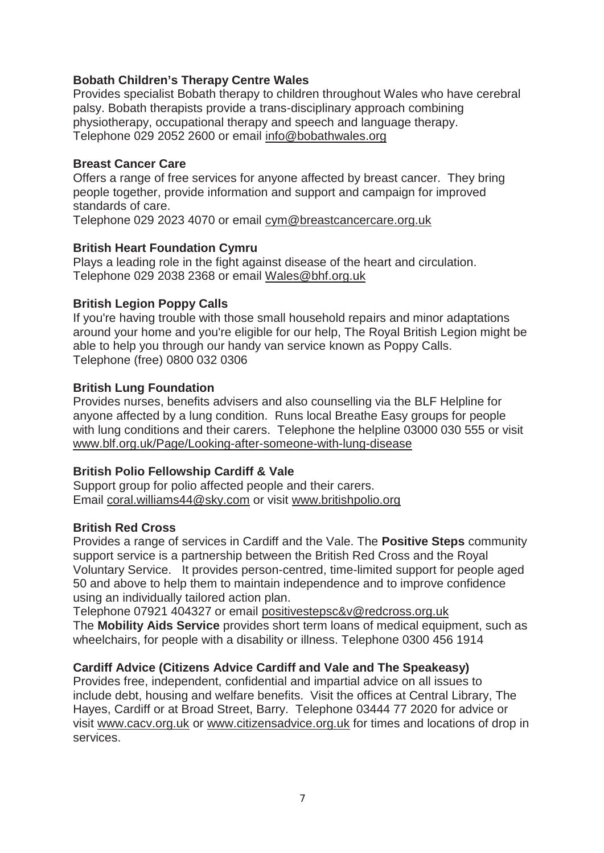## **Bobath Children's Therapy Centre Wales**

Provides specialist Bobath therapy to children throughout Wales who have cerebral palsy. Bobath therapists provide a trans-disciplinary approach combining physiotherapy, occupational therapy and speech and language therapy. Telephone 029 2052 2600 or email info@bobathwales.org

#### **Breast Cancer Care**

Offers a range of free services for anyone affected by breast cancer. They bring people together, provide information and support and campaign for improved standards of care.

Telephone 029 2023 4070 or email cym@breastcancercare.org.uk

#### **British Heart Foundation Cymru**

Plays a leading role in the fight against disease of the heart and circulation. Telephone 029 2038 2368 or email Wales@bhf.org.uk

#### **British Legion Poppy Calls**

If you're having trouble with those small household repairs and minor adaptations around your home and you're eligible for our help, The Royal British Legion might be able to help you through our handy van service known as Poppy Calls. Telephone (free) 0800 032 0306

#### **British Lung Foundation**

Provides nurses, benefits advisers and also counselling via the BLF Helpline for anyone affected by a lung condition. Runs local Breathe Easy groups for people with lung conditions and their carers. Telephone the helpline 03000 030 555 or visit www.blf.org.uk/Page/Looking-after-someone-with-lung-disease

#### **British Polio Fellowship Cardiff & Vale**

Support group for polio affected people and their carers. Email coral.williams44@sky.com or visit www.britishpolio.org

#### **British Red Cross**

Provides a range of services in Cardiff and the Vale. The **Positive Steps** community support service is a partnership between the British Red Cross and the Royal Voluntary Service. It provides person-centred, time-limited support for people aged 50 and above to help them to maintain independence and to improve confidence using an individually tailored action plan.

Telephone 07921 404327 or email positivestepsc&v@redcross.org.uk The **Mobility Aids Service** provides short term loans of medical equipment, such as wheelchairs, for people with a disability or illness. Telephone 0300 456 1914

#### **Cardiff Advice (Citizens Advice Cardiff and Vale and The Speakeasy)**

Provides free, independent, confidential and impartial advice on all issues to include debt, housing and welfare benefits. Visit the offices at Central Library, The Hayes, Cardiff or at Broad Street, Barry. Telephone 03444 77 2020 for advice or visit www.cacv.org.uk or www.citizensadvice.org.uk for times and locations of drop in services.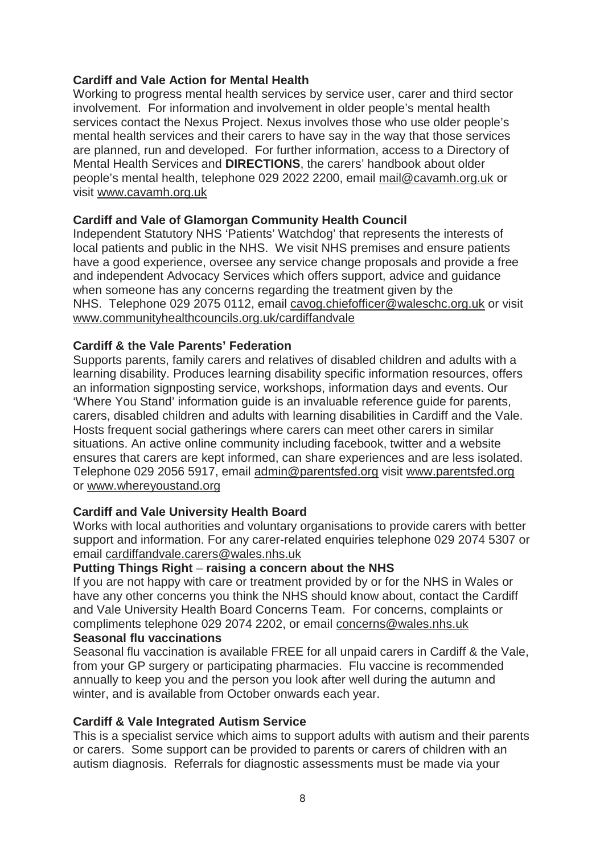#### **Cardiff and Vale Action for Mental Health**

Working to progress mental health services by service user, carer and third sector involvement. For information and involvement in older people's mental health services contact the Nexus Project. Nexus involves those who use older people's mental health services and their carers to have say in the way that those services are planned, run and developed. For further information, access to a Directory of Mental Health Services and **DIRECTIONS**, the carers' handbook about older people's mental health, telephone 029 2022 2200, email mail@cavamh.org.uk or visit www.cavamh.org.uk

## **Cardiff and Vale of Glamorgan Community Health Council**

Independent Statutory NHS 'Patients' Watchdog' that represents the interests of local patients and public in the NHS. We visit NHS premises and ensure patients have a good experience, oversee any service change proposals and provide a free and independent Advocacy Services which offers support, advice and guidance when someone has any concerns regarding the treatment given by the NHS. Telephone 029 2075 0112, email cavog.chiefofficer@waleschc.org.uk or visit www.communityhealthcouncils.org.uk/cardiffandvale

## **Cardiff & the Vale Parents' Federation**

Supports parents, family carers and relatives of disabled children and adults with a learning disability. Produces learning disability specific information resources, offers an information signposting service, workshops, information days and events. Our 'Where You Stand' information guide is an invaluable reference guide for parents, carers, disabled children and adults with learning disabilities in Cardiff and the Vale. Hosts frequent social gatherings where carers can meet other carers in similar situations. An active online community including facebook, twitter and a website ensures that carers are kept informed, can share experiences and are less isolated. Telephone 029 2056 5917, email admin@parentsfed.org visit www.parentsfed.org or www.whereyoustand.org

#### **Cardiff and Vale University Health Board**

Works with local authorities and voluntary organisations to provide carers with better support and information. For any carer-related enquiries telephone 029 2074 5307 or email cardiffandvale.carers@wales.nhs.uk

#### **Putting Things Right** – **raising a concern about the NHS**

If you are not happy with care or treatment provided by or for the NHS in Wales or have any other concerns you think the NHS should know about, contact the Cardiff and Vale University Health Board Concerns Team. For concerns, complaints or compliments telephone 029 2074 2202, or email concerns@wales.nhs.uk **Seasonal flu vaccinations**

#### Seasonal flu vaccination is available FREE for all unpaid carers in Cardiff & the Vale, from your GP surgery or participating pharmacies. Flu vaccine is recommended annually to keep you and the person you look after well during the autumn and winter, and is available from October onwards each year.

#### **Cardiff & Vale Integrated Autism Service**

This is a specialist service which aims to support adults with autism and their parents or carers. Some support can be provided to parents or carers of children with an autism diagnosis. Referrals for diagnostic assessments must be made via your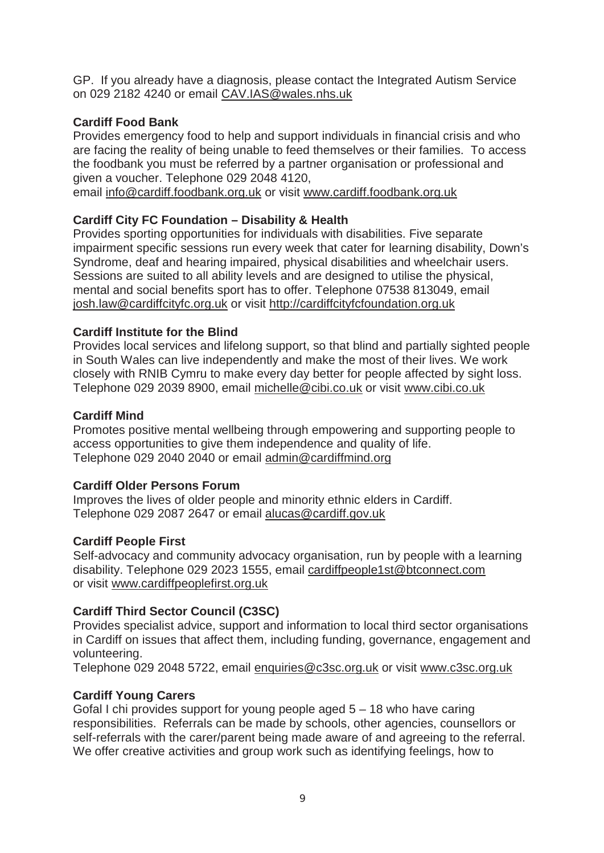GP. If you already have a diagnosis, please contact the Integrated Autism Service on 029 2182 4240 or email CAV.IAS@wales.nhs.uk

## **Cardiff Food Bank**

Provides emergency food to help and support individuals in financial crisis and who are facing the reality of being unable to feed themselves or their families. To access the foodbank you must be referred by a partner organisation or professional and given a voucher. Telephone 029 2048 4120,

email info@cardiff.foodbank.org.uk or visit www.cardiff.foodbank.org.uk

## **Cardiff City FC Foundation – Disability & Health**

Provides sporting opportunities for individuals with disabilities. Five separate impairment specific sessions run every week that cater for learning disability, Down's Syndrome, deaf and hearing impaired, physical disabilities and wheelchair users. Sessions are suited to all ability levels and are designed to utilise the physical, mental and social benefits sport has to offer. Telephone 07538 813049, email josh.law@cardiffcityfc.org.uk or visit http://cardiffcityfcfoundation.org.uk

## **Cardiff Institute for the Blind**

Provides local services and lifelong support, so that blind and partially sighted people in South Wales can live independently and make the most of their lives. We work closely with RNIB Cymru to make every day better for people affected by sight loss. Telephone 029 2039 8900, email michelle@cibi.co.uk or visit www.cibi.co.uk

#### **Cardiff Mind**

Promotes positive mental wellbeing through empowering and supporting people to access opportunities to give them independence and quality of life. Telephone 029 2040 2040 or email admin@cardiffmind.org

### **Cardiff Older Persons Forum**

Improves the lives of older people and minority ethnic elders in Cardiff. Telephone 029 2087 2647 or email alucas@cardiff.gov.uk

#### **Cardiff People First**

Self-advocacy and community advocacy organisation, run by people with a learning disability. Telephone 029 2023 1555, email cardiffpeople1st@btconnect.com or visit www.cardiffpeoplefirst.org.uk

#### **Cardiff Third Sector Council (C3SC)**

Provides specialist advice, support and information to local third sector organisations in Cardiff on issues that affect them, including funding, governance, engagement and volunteering.

Telephone 029 2048 5722, email enquiries@c3sc.org.uk or visit www.c3sc.org.uk

#### **Cardiff Young Carers**

Gofal I chi provides support for young people aged 5 – 18 who have caring responsibilities. Referrals can be made by schools, other agencies, counsellors or self-referrals with the carer/parent being made aware of and agreeing to the referral. We offer creative activities and group work such as identifying feelings, how to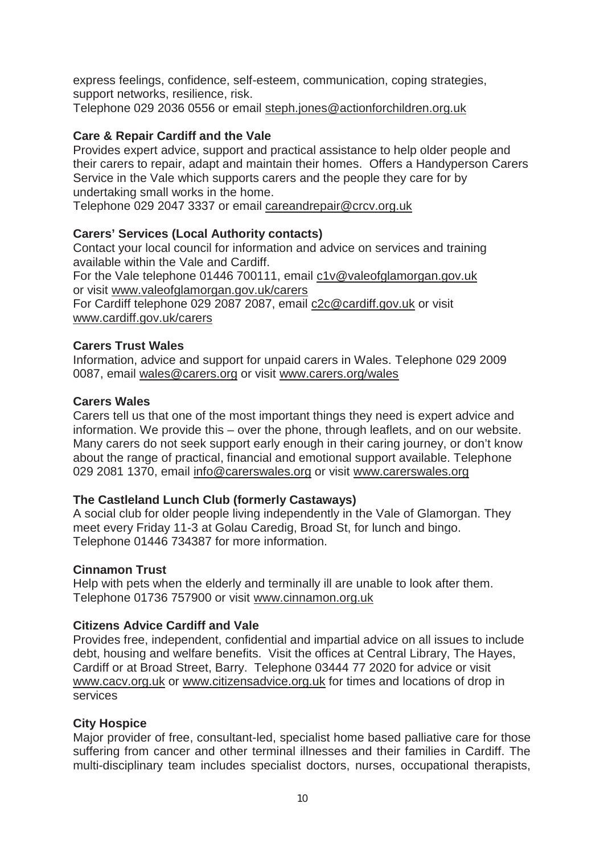express feelings, confidence, self-esteem, communication, coping strategies, support networks, resilience, risk.

Telephone 029 2036 0556 or email steph.jones@actionforchildren.org.uk

## **Care & Repair Cardiff and the Vale**

Provides expert advice, support and practical assistance to help older people and their carers to repair, adapt and maintain their homes. Offers a Handyperson Carers Service in the Vale which supports carers and the people they care for by undertaking small works in the home.

Telephone 029 2047 3337 or email careandrepair@crcv.org.uk

## **Carers' Services (Local Authority contacts)**

Contact your local council for information and advice on services and training available within the Vale and Cardiff.

For the Vale telephone 01446 700111, email c1v@valeofglamorgan.gov.uk or visit www.valeofglamorgan.gov.uk/carers

For Cardiff telephone 029 2087 2087, email c2c@cardiff.gov.uk or visit www.cardiff.gov.uk/carers

## **Carers Trust Wales**

Information, advice and support for unpaid carers in Wales. Telephone 029 2009 0087, email wales@carers.org or visit www.carers.org/wales

## **Carers Wales**

Carers tell us that one of the most important things they need is expert advice and information. We provide this – over the phone, through leaflets, and on our website. Many carers do not seek support early enough in their caring journey, or don't know about the range of practical, financial and emotional support available. Telephone 029 2081 1370, email info@carerswales.org or visit www.carerswales.org

## **The Castleland Lunch Club (formerly Castaways)**

A social club for older people living independently in the Vale of Glamorgan. They meet every Friday 11-3 at Golau Caredig, Broad St, for lunch and bingo. Telephone 01446 734387 for more information.

#### **Cinnamon Trust**

Help with pets when the elderly and terminally ill are unable to look after them. Telephone 01736 757900 or visit www.cinnamon.org.uk

## **Citizens Advice Cardiff and Vale**

Provides free, independent, confidential and impartial advice on all issues to include debt, housing and welfare benefits. Visit the offices at Central Library, The Hayes, Cardiff or at Broad Street, Barry. Telephone 03444 77 2020 for advice or visit www.cacv.org.uk or www.citizensadvice.org.uk for times and locations of drop in services

## **City Hospice**

Major provider of free, consultant-led, specialist home based palliative care for those suffering from cancer and other terminal illnesses and their families in Cardiff. The multi-disciplinary team includes specialist doctors, nurses, occupational therapists,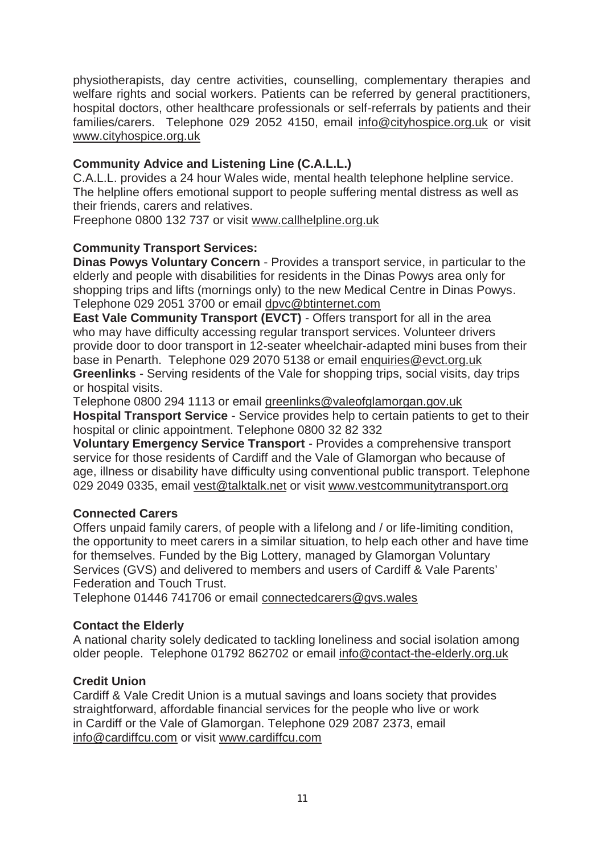physiotherapists, day centre activities, counselling, complementary therapies and welfare rights and social workers. Patients can be referred by general practitioners, hospital doctors, other healthcare professionals or self-referrals by patients and their families/carers. Telephone 029 2052 4150, email info@cityhospice.org.uk or visit www.cityhospice.org.uk

## **Community Advice and Listening Line (C.A.L.L.)**

C.A.L.L. provides a 24 hour Wales wide, mental health telephone helpline service. The helpline offers emotional support to people suffering mental distress as well as their friends, carers and relatives.

Freephone 0800 132 737 or visit www.callhelpline.org.uk

## **Community Transport Services:**

**Dinas Powys Voluntary Concern** - Provides a transport service, in particular to the elderly and people with disabilities for residents in the Dinas Powys area only for shopping trips and lifts (mornings only) to the new Medical Centre in Dinas Powys. Telephone 029 2051 3700 or email dpvc@btinternet.com

**East Vale Community Transport (EVCT)** - Offers transport for all in the area who may have difficulty accessing regular transport services. Volunteer drivers provide door to door transport in 12-seater wheelchair-adapted mini buses from their base in Penarth. Telephone 029 2070 5138 or email enquiries@evct.org.uk **Greenlinks** - Serving residents of the Vale for shopping trips, social visits, day trips or hospital visits.

Telephone 0800 294 1113 or email greenlinks@valeofglamorgan.gov.uk

**Hospital Transport Service** - Service provides help to certain patients to get to their hospital or clinic appointment. Telephone 0800 32 82 332

**Voluntary Emergency Service Transport** - Provides a comprehensive transport service for those residents of Cardiff and the Vale of Glamorgan who because of age, illness or disability have difficulty using conventional public transport. Telephone 029 2049 0335, email vest@talktalk.net or visit www.vestcommunitytransport.org

## **Connected Carers**

Offers unpaid family carers, of people with a lifelong and / or life-limiting condition, the opportunity to meet carers in a similar situation, to help each other and have time for themselves. Funded by the Big Lottery, managed by Glamorgan Voluntary Services (GVS) and delivered to members and users of Cardiff & Vale Parents' Federation and Touch Trust.

Telephone 01446 741706 or email connectedcarers@gvs.wales

#### **Contact the Elderly**

A national charity solely dedicated to tackling loneliness and social isolation among older people. Telephone 01792 862702 or email info@contact-the-elderly.org.uk

#### **Credit Union**

Cardiff & Vale Credit Union is a mutual savings and loans society that provides straightforward, affordable financial services for the people who live or work in Cardiff or the Vale of Glamorgan. Telephone 029 2087 2373, email info@cardiffcu.com or visit www.cardiffcu.com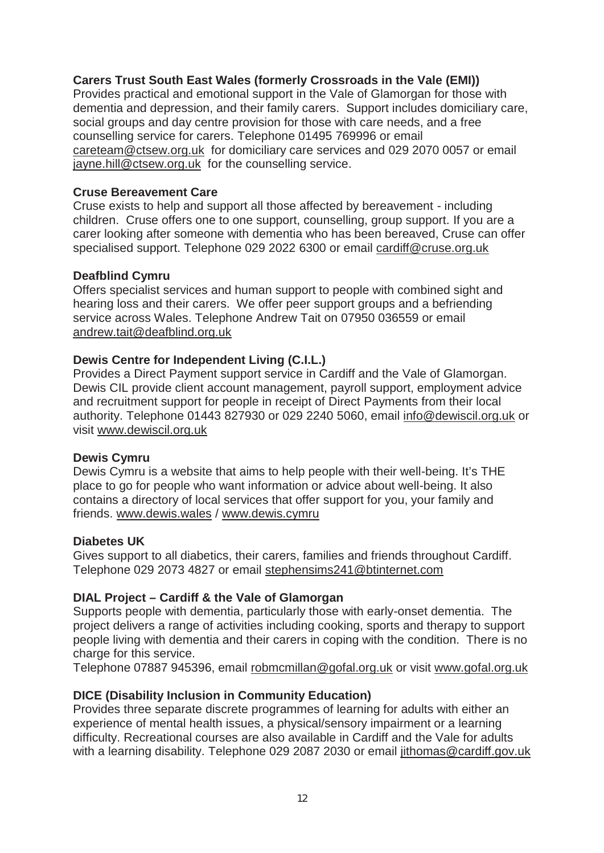#### **Carers Trust South East Wales (formerly Crossroads in the Vale (EMI))**

Provides practical and emotional support in the Vale of Glamorgan for those with dementia and depression, and their family carers. Support includes domiciliary care, social groups and day centre provision for those with care needs, and a free counselling service for carers. Telephone 01495 769996 or email careteam@ctsew.org.uk for domiciliary care services and 029 2070 0057 or email jayne.hill@ctsew.org.uk for the counselling service.

## **Cruse Bereavement Care**

Cruse exists to help and support all those affected by bereavement - including children. Cruse offers one to one support, counselling, group support. If you are a carer looking after someone with dementia who has been bereaved, Cruse can offer specialised support. Telephone 029 2022 6300 or email cardiff@cruse.org.uk

#### **Deafblind Cymru**

Offers specialist services and human support to people with combined sight and hearing loss and their carers. We offer peer support groups and a befriending service across Wales. Telephone Andrew Tait on 07950 036559 or email andrew.tait@deafblind.org.uk

## **Dewis Centre for Independent Living (C.I.L.)**

Provides a Direct Payment support service in Cardiff and the Vale of Glamorgan. Dewis CIL provide client account management, payroll support, employment advice and recruitment support for people in receipt of Direct Payments from their local authority. Telephone 01443 827930 or 029 2240 5060, email info@dewiscil.org.uk or visit www.dewiscil.org.uk

#### **Dewis Cymru**

Dewis Cymru is a website that aims to help people with their well-being. It's THE place to go for people who want information or advice about well-being. It also contains a directory of local services that offer support for you, your family and friends. www.dewis.wales / www.dewis.cymru

#### **Diabetes UK**

Gives support to all diabetics, their carers, families and friends throughout Cardiff. Telephone 029 2073 4827 or email stephensims241@btinternet.com

## **DIAL Project – Cardiff & the Vale of Glamorgan**

Supports people with dementia, particularly those with early-onset dementia. The project delivers a range of activities including cooking, sports and therapy to support people living with dementia and their carers in coping with the condition. There is no charge for this service.

Telephone 07887 945396, email robmcmillan@gofal.org.uk or visit www.gofal.org.uk

## **DICE (Disability Inclusion in Community Education)**

Provides three separate discrete programmes of learning for adults with either an experience of mental health issues, a physical/sensory impairment or a learning difficulty. Recreational courses are also available in Cardiff and the Vale for adults with a learning disability. Telephone 029 2087 2030 or email jithomas@cardiff.gov.uk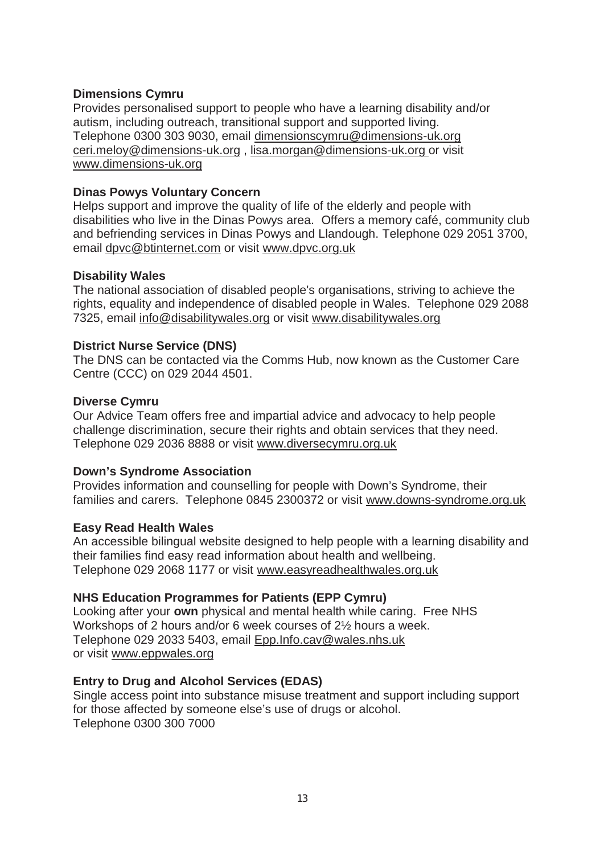#### **Dimensions Cymru**

Provides personalised support to people who have a learning disability and/or autism, including outreach, transitional support and supported living. Telephone 0300 303 9030, email dimensionscymru@dimensions-uk.org ceri.meloy@dimensions-uk.org , lisa.morgan@dimensions-uk.org or visit www.dimensions-uk.org

#### **Dinas Powys Voluntary Concern**

Helps support and improve the quality of life of the elderly and people with disabilities who live in the Dinas Powys area. Offers a memory café, community club and befriending services in Dinas Powys and Llandough. Telephone 029 2051 3700, email dpvc@btinternet.com or visit www.dpvc.org.uk

## **Disability Wales**

The national association of disabled people's organisations, striving to achieve the rights, equality and independence of disabled people in Wales. Telephone 029 2088 7325, email info@disabilitywales.org or visit www.disabilitywales.org

## **District Nurse Service (DNS)**

The DNS can be contacted via the Comms Hub, now known as the Customer Care Centre (CCC) on 029 2044 4501.

## **Diverse Cymru**

Our Advice Team offers free and impartial advice and advocacy to help people challenge discrimination, secure their rights and obtain services that they need. Telephone 029 2036 8888 or visit www.diversecymru.org.uk

## **Down's Syndrome Association**

Provides information and counselling for people with Down's Syndrome, their families and carers. Telephone 0845 2300372 or visit www.downs-syndrome.org.uk

#### **Easy Read Health Wales**

An accessible bilingual website designed to help people with a learning disability and their families find easy read information about health and wellbeing. Telephone 029 2068 1177 or visit www.easyreadhealthwales.org.uk

## **NHS Education Programmes for Patients (EPP Cymru)**

Looking after your **own** physical and mental health while caring. Free NHS Workshops of 2 hours and/or 6 week courses of 2½ hours a week. Telephone 029 2033 5403, email Epp.Info.cav@wales.nhs.uk or visit www.eppwales.org

## **Entry to Drug and Alcohol Services (EDAS)**

Single access point into substance misuse treatment and support including support for those affected by someone else's use of drugs or alcohol. Telephone 0300 300 7000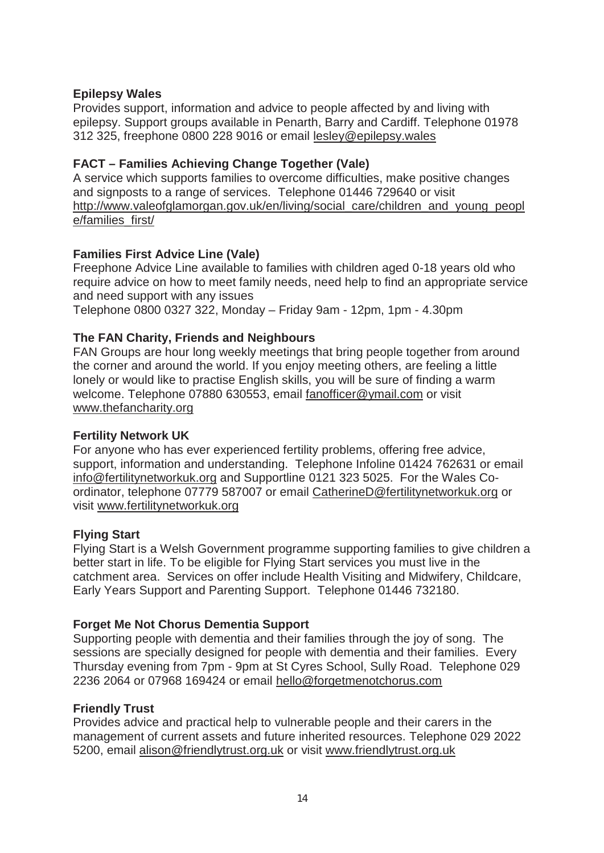## **Epilepsy Wales**

Provides support, information and advice to people affected by and living with epilepsy. Support groups available in Penarth, Barry and Cardiff. Telephone 01978 312 325, freephone 0800 228 9016 or email lesley@epilepsy.wales

## **FACT – Families Achieving Change Together (Vale)**

A service which supports families to overcome difficulties, make positive changes and signposts to a range of services. Telephone 01446 729640 or visit http://www.valeofglamorgan.gov.uk/en/living/social\_care/children\_and\_young\_peopl e/families\_first/

#### **Families First Advice Line (Vale)**

Freephone Advice Line available to families with children aged 0-18 years old who require advice on how to meet family needs, need help to find an appropriate service and need support with any issues

Telephone 0800 0327 322, Monday – Friday 9am - 12pm, 1pm - 4.30pm

## **The FAN Charity, Friends and Neighbours**

FAN Groups are hour long weekly meetings that bring people together from around the corner and around the world. If you enjoy meeting others, are feeling a little lonely or would like to practise English skills, you will be sure of finding a warm welcome. Telephone 07880 630553, email fanofficer@ymail.com or visit www.thefancharity.org

#### **Fertility Network UK**

For anyone who has ever experienced fertility problems, offering free advice, support, information and understanding. Telephone Infoline 01424 762631 or email info@fertilitynetworkuk.org and Supportline 0121 323 5025. For the Wales Coordinator, telephone 07779 587007 or email CatherineD@fertilitynetworkuk.org or visit www.fertilitynetworkuk.org

#### **Flying Start**

Flying Start is a Welsh Government programme supporting families to give children a better start in life. To be eligible for Flying Start services you must live in the catchment area. Services on offer include Health Visiting and Midwifery, Childcare, Early Years Support and Parenting Support. Telephone 01446 732180.

#### **Forget Me Not Chorus Dementia Support**

Supporting people with dementia and their families through the joy of song. The sessions are specially designed for people with dementia and their families. Every Thursday evening from 7pm - 9pm at St Cyres School, Sully Road. Telephone 029 2236 2064 or 07968 169424 or email hello@forgetmenotchorus.com

#### **Friendly Trust**

Provides advice and practical help to vulnerable people and their carers in the management of current assets and future inherited resources. Telephone 029 2022 5200, email alison@friendlytrust.org.uk or visit www.friendlytrust.org.uk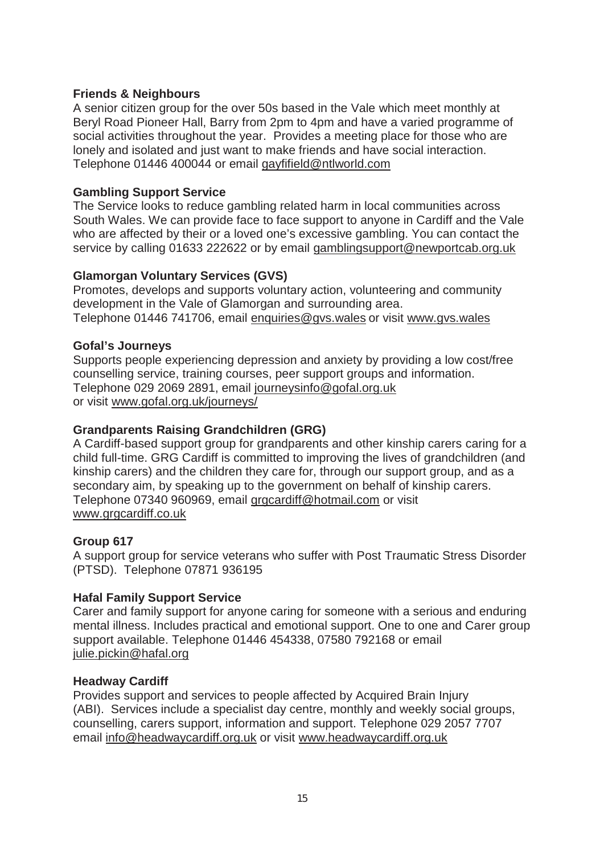#### **Friends & Neighbours**

A senior citizen group for the over 50s based in the Vale which meet monthly at Beryl Road Pioneer Hall, Barry from 2pm to 4pm and have a varied programme of social activities throughout the year. Provides a meeting place for those who are lonely and isolated and just want to make friends and have social interaction. Telephone 01446 400044 or email gayfifield@ntlworld.com

## **Gambling Support Service**

The Service looks to reduce gambling related harm in local communities across South Wales. We can provide face to face support to anyone in Cardiff and the Vale who are affected by their or a loved one's excessive gambling. You can contact the service by calling 01633 222622 or by email gamblingsupport@newportcab.org.uk

#### **Glamorgan Voluntary Services (GVS)**

Promotes, develops and supports voluntary action, volunteering and community development in the Vale of Glamorgan and surrounding area. Telephone 01446 741706, email enquiries@gvs.wales or visit www.gvs.wales

#### **Gofal's Journeys**

Supports people experiencing depression and anxiety by providing a low cost/free counselling service, training courses, peer support groups and information. Telephone 029 2069 2891, email journeysinfo@gofal.org.uk or visit www.gofal.org.uk/journeys/

#### **Grandparents Raising Grandchildren (GRG)**

A Cardiff-based support group for grandparents and other kinship carers caring for a child full-time. GRG Cardiff is committed to improving the lives of grandchildren (and kinship carers) and the children they care for, through our support group, and as a secondary aim, by speaking up to the government on behalf of kinship carers. Telephone 07340 960969, email grgcardiff@hotmail.com or visit www.grgcardiff.co.uk

## **Group 617**

A support group for service veterans who suffer with Post Traumatic Stress Disorder (PTSD). Telephone 07871 936195

## **Hafal Family Support Service**

Carer and family support for anyone caring for someone with a serious and enduring mental illness. Includes practical and emotional support. One to one and Carer group support available. Telephone 01446 454338, 07580 792168 or email julie.pickin@hafal.org

#### **Headway Cardiff**

Provides support and services to people affected by Acquired Brain Injury (ABI). Services include a specialist day centre, monthly and weekly social groups, counselling, carers support, information and support. Telephone 029 2057 7707 email info@headwaycardiff.org.uk or visit www.headwaycardiff.org.uk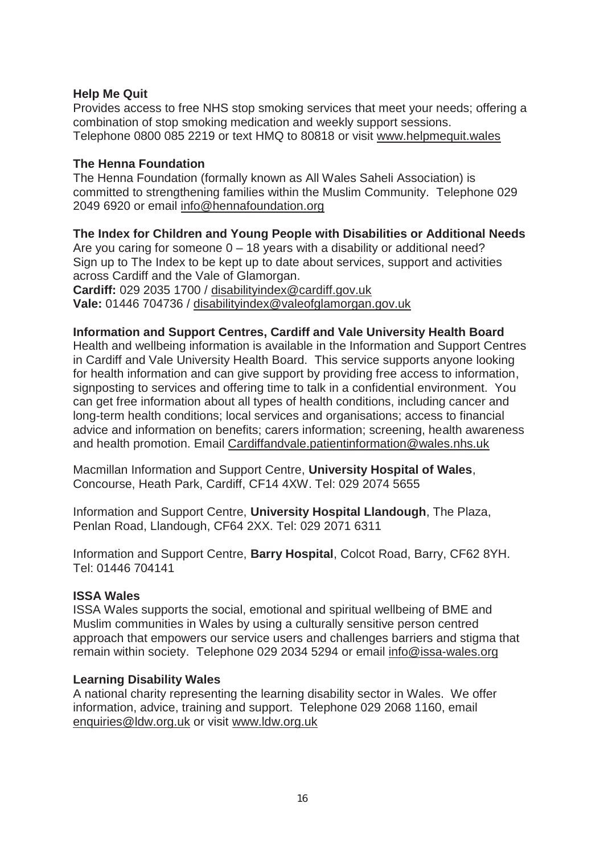#### **Help Me Quit**

Provides access to free NHS stop smoking services that meet your needs; offering a combination of stop smoking medication and weekly support sessions. Telephone 0800 085 2219 or text HMQ to 80818 or visit www.helpmequit.wales

#### **The Henna Foundation**

The Henna Foundation (formally known as All Wales Saheli Association) is committed to strengthening families within the Muslim Community. Telephone 029 2049 6920 or email info@hennafoundation.org

## **The Index for Children and Young People with Disabilities or Additional Needs**

Are you caring for someone  $0 - 18$  years with a disability or additional need? Sign up to The Index to be kept up to date about services, support and activities across Cardiff and the Vale of Glamorgan.

**Cardiff:** 029 2035 1700 / disabilityindex@cardiff.gov.uk **Vale:** 01446 704736 / disabilityindex@valeofglamorgan.gov.uk

#### **Information and Support Centres, Cardiff and Vale University Health Board**

Health and wellbeing information is available in the Information and Support Centres in Cardiff and Vale University Health Board. This service supports anyone looking for health information and can give support by providing free access to information, signposting to services and offering time to talk in a confidential environment. You can get free information about all types of health conditions, including cancer and long-term health conditions; local services and organisations; access to financial advice and information on benefits; carers information; screening, health awareness and health promotion. Email Cardiffandvale.patientinformation@wales.nhs.uk

Macmillan Information and Support Centre, **University Hospital of Wales**, Concourse, Heath Park, Cardiff, CF14 4XW. Tel: 029 2074 5655

Information and Support Centre, **University Hospital Llandough**, The Plaza, Penlan Road, Llandough, CF64 2XX. Tel: 029 2071 6311

Information and Support Centre, **Barry Hospital**, Colcot Road, Barry, CF62 8YH. Tel: 01446 704141

#### **ISSA Wales**

ISSA Wales supports the social, emotional and spiritual wellbeing of BME and Muslim communities in Wales by using a culturally sensitive person centred approach that empowers our service users and challenges barriers and stigma that remain within society. Telephone 029 2034 5294 or email info@issa-wales.org

#### **Learning Disability Wales**

A national charity representing the learning disability sector in Wales. We offer information, advice, training and support. Telephone 029 2068 1160, email enquiries@ldw.org.uk or visit www.ldw.org.uk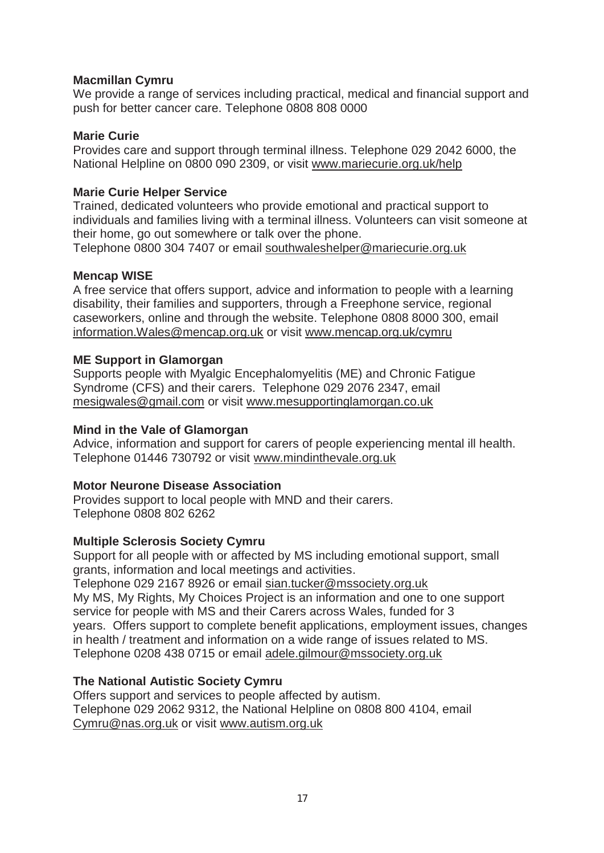#### **Macmillan Cymru**

We provide a range of services including practical, medical and financial support and push for better cancer care. Telephone 0808 808 0000

#### **Marie Curie**

Provides care and support through terminal illness. Telephone 029 2042 6000, the National Helpline on 0800 090 2309, or visit www.mariecurie.org.uk/help

## **Marie Curie Helper Service**

Trained, dedicated volunteers who provide emotional and practical support to individuals and families living with a terminal illness. Volunteers can visit someone at their home, go out somewhere or talk over the phone.

Telephone 0800 304 7407 or email southwaleshelper@mariecurie.org.uk

## **Mencap WISE**

A free service that offers support, advice and information to people with a learning disability, their families and supporters, through a Freephone service, regional caseworkers, online and through the website. Telephone 0808 8000 300, email information.Wales@mencap.org.uk or visit www.mencap.org.uk/cymru

#### **ME Support in Glamorgan**

Supports people with Myalgic Encephalomyelitis (ME) and Chronic Fatigue Syndrome (CFS) and their carers. Telephone 029 2076 2347, email mesigwales@gmail.com or visit www.mesupportinglamorgan.co.uk

#### **Mind in the Vale of Glamorgan**

Advice, information and support for carers of people experiencing mental ill health. Telephone 01446 730792 or visit www.mindinthevale.org.uk

### **Motor Neurone Disease Association**

Provides support to local people with MND and their carers. Telephone 0808 802 6262

#### **Multiple Sclerosis Society Cymru**

Support for all people with or affected by MS including emotional support, small grants, information and local meetings and activities.

Telephone 029 2167 8926 or email sian.tucker@mssociety.org.uk My MS, My Rights, My Choices Project is an information and one to one support service for people with MS and their Carers across Wales, funded for 3 years. Offers support to complete benefit applications, employment issues, changes in health / treatment and information on a wide range of issues related to MS. Telephone 0208 438 0715 or email adele.gilmour@mssociety.org.uk

## **The National Autistic Society Cymru**

Offers support and services to people affected by autism. Telephone 029 2062 9312, the National Helpline on 0808 800 4104, email Cymru@nas.org.uk or visit www.autism.org.uk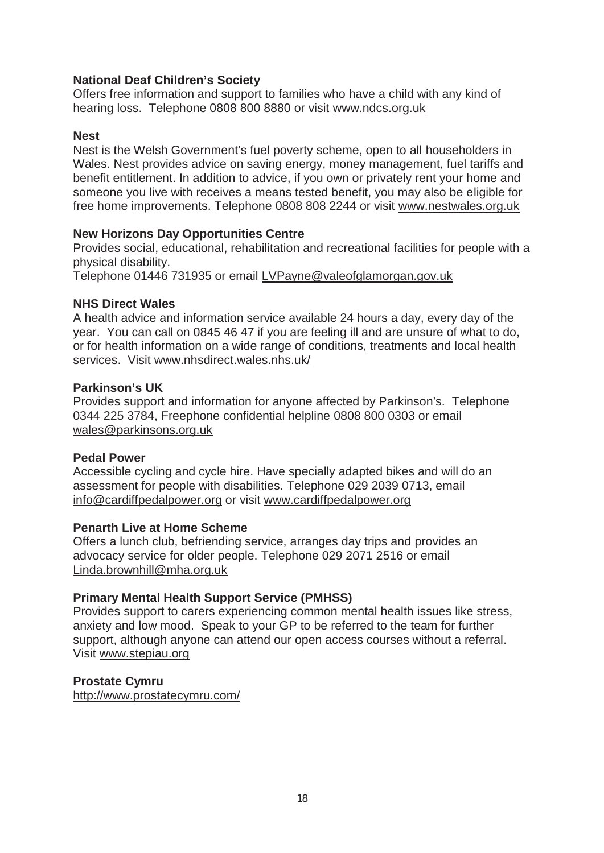#### **National Deaf Children's Society**

Offers free information and support to families who have a child with any kind of hearing loss. Telephone 0808 800 8880 or visit www.ndcs.org.uk

#### **Nest**

Nest is the Welsh Government's fuel poverty scheme, open to all householders in Wales. Nest provides advice on saving energy, money management, fuel tariffs and benefit entitlement. In addition to advice, if you own or privately rent your home and someone you live with receives a means tested benefit, you may also be eligible for free home improvements. Telephone 0808 808 2244 or visit www.nestwales.org.uk

#### **New Horizons Day Opportunities Centre**

Provides social, educational, rehabilitation and recreational facilities for people with a physical disability.

Telephone 01446 731935 or email LVPayne@valeofglamorgan.gov.uk

#### **NHS Direct Wales**

A health advice and information service available 24 hours a day, every day of the year. You can call on 0845 46 47 if you are feeling ill and are unsure of what to do, or for health information on a wide range of conditions, treatments and local health services. Visit www.nhsdirect.wales.nhs.uk/

#### **Parkinson's UK**

Provides support and information for anyone affected by Parkinson's. Telephone 0344 225 3784, Freephone confidential helpline 0808 800 0303 or email wales@parkinsons.org.uk

#### **Pedal Power**

Accessible cycling and cycle hire. Have specially adapted bikes and will do an assessment for people with disabilities. Telephone 029 2039 0713, email info@cardiffpedalpower.org or visit www.cardiffpedalpower.org

#### **Penarth Live at Home Scheme**

Offers a lunch club, befriending service, arranges day trips and provides an advocacy service for older people. Telephone 029 2071 2516 or email Linda.brownhill@mha.org.uk

#### **Primary Mental Health Support Service (PMHSS)**

Provides support to carers experiencing common mental health issues like stress, anxiety and low mood. Speak to your GP to be referred to the team for further support, although anyone can attend our open access courses without a referral. Visit www.stepiau.org

**Prostate Cymru**

http://www.prostatecymru.com/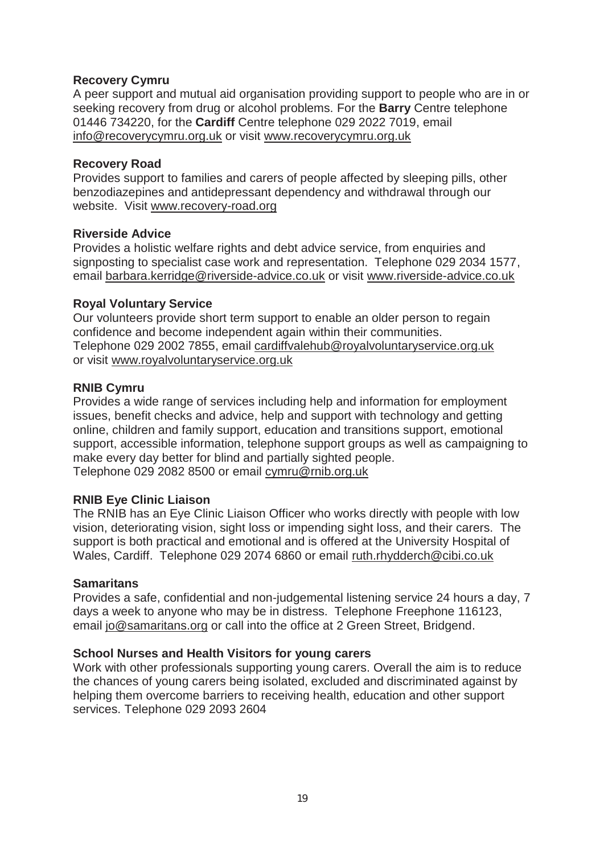#### **Recovery Cymru**

A peer support and mutual aid organisation providing support to people who are in or seeking recovery from drug or alcohol problems. For the **Barry** Centre telephone 01446 734220, for the **Cardiff** Centre telephone 029 2022 7019, email info@recoverycymru.org.uk or visit www.recoverycymru.org.uk

#### **Recovery Road**

Provides support to families and carers of people affected by sleeping pills, other benzodiazepines and antidepressant dependency and withdrawal through our website. Visit www.recovery-road.org

#### **Riverside Advice**

Provides a holistic welfare rights and debt advice service, from enquiries and signposting to specialist case work and representation. Telephone 029 2034 1577, email barbara.kerridge@riverside-advice.co.uk or visit www.riverside-advice.co.uk

#### **Royal Voluntary Service**

Our volunteers provide short term support to enable an older person to regain confidence and become independent again within their communities. Telephone 029 2002 7855, email cardiffvalehub@royalvoluntaryservice.org.uk or visit www.royalvoluntaryservice.org.uk

#### **RNIB Cymru**

Provides a wide range of services including help and information for employment issues, benefit checks and advice, help and support with technology and getting online, children and family support, education and transitions support, emotional support, accessible information, telephone support groups as well as campaigning to make every day better for blind and partially sighted people. Telephone 029 2082 8500 or email cymru@rnib.org.uk

#### **RNIB Eye Clinic Liaison**

The RNIB has an Eye Clinic Liaison Officer who works directly with people with low vision, deteriorating vision, sight loss or impending sight loss, and their carers. The support is both practical and emotional and is offered at the University Hospital of Wales, Cardiff. Telephone 029 2074 6860 or email ruth.rhydderch@cibi.co.uk

#### **Samaritans**

Provides a safe, confidential and non-judgemental listening service 24 hours a day, 7 days a week to anyone who may be in distress. Telephone Freephone 116123, email jo@samaritans.org or call into the office at 2 Green Street, Bridgend.

#### **School Nurses and Health Visitors for young carers**

Work with other professionals supporting young carers. Overall the aim is to reduce the chances of young carers being isolated, excluded and discriminated against by helping them overcome barriers to receiving health, education and other support services. Telephone 029 2093 2604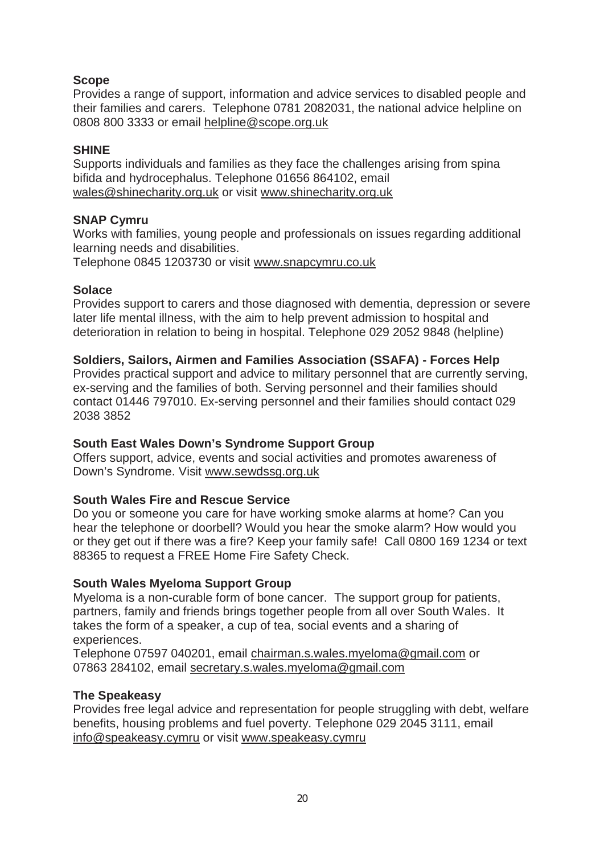## **Scope**

Provides a range of support, information and advice services to disabled people and their families and carers. Telephone 0781 2082031, the national advice helpline on 0808 800 3333 or email helpline@scope.org.uk

## **SHINE**

Supports individuals and families as they face the challenges arising from spina bifida and hydrocephalus. Telephone 01656 864102, email wales@shinecharity.org.uk or visit www.shinecharity.org.uk

## **SNAP Cymru**

Works with families, young people and professionals on issues regarding additional learning needs and disabilities.

Telephone 0845 1203730 or visit www.snapcymru.co.uk

## **Solace**

Provides support to carers and those diagnosed with dementia, depression or severe later life mental illness, with the aim to help prevent admission to hospital and deterioration in relation to being in hospital. Telephone 029 2052 9848 (helpline)

## **Soldiers, Sailors, Airmen and Families Association (SSAFA) - Forces Help**

Provides practical support and advice to military personnel that are currently serving, ex-serving and the families of both. Serving personnel and their families should contact 01446 797010. Ex-serving personnel and their families should contact 029 2038 3852

## **South East Wales Down's Syndrome Support Group**

Offers support, advice, events and social activities and promotes awareness of Down's Syndrome. Visit www.sewdssg.org.uk

## **South Wales Fire and Rescue Service**

Do you or someone you care for have working smoke alarms at home? Can you hear the telephone or doorbell? Would you hear the smoke alarm? How would you or they get out if there was a fire? Keep your family safe! Call 0800 169 1234 or text 88365 to request a FREE Home Fire Safety Check.

## **South Wales Myeloma Support Group**

Myeloma is a non-curable form of bone cancer. The support group for patients, partners, family and friends brings together people from all over South Wales. It takes the form of a speaker, a cup of tea, social events and a sharing of experiences.

Telephone 07597 040201, email chairman.s.wales.myeloma@gmail.com or 07863 284102, email secretary.s.wales.myeloma@gmail.com

## **The Speakeasy**

Provides free legal advice and representation for people struggling with debt, welfare benefits, housing problems and fuel poverty. Telephone 029 2045 3111, email info@speakeasy.cymru or visit www.speakeasy.cymru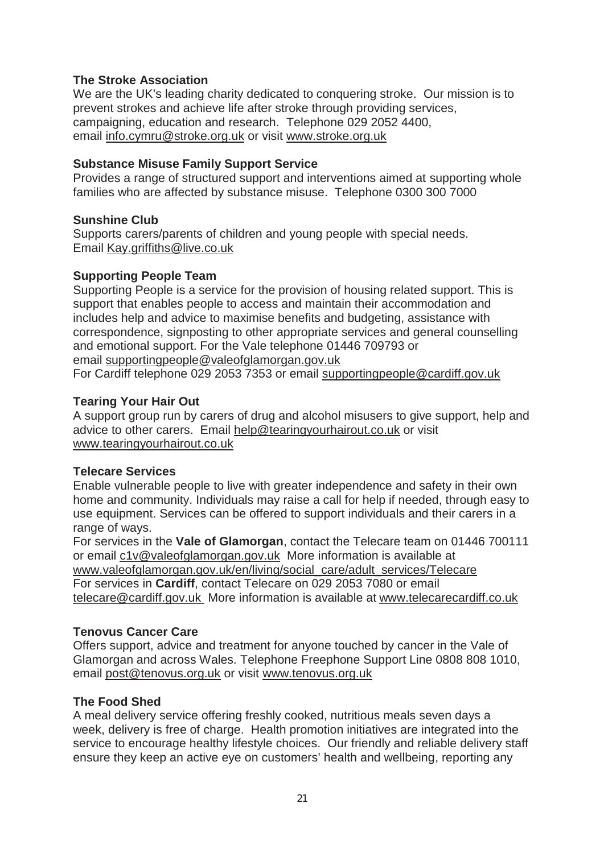## **The Stroke Association**

We are the UK's leading charity dedicated to conquering stroke. Our mission is to prevent strokes and achieve life after stroke through providing services, campaigning, education and research. Telephone 029 2052 4400, email info.cymru@stroke.org.uk or visit www.stroke.org.uk

#### **Substance Misuse Family Support Service**

Provides a range of structured support and interventions aimed at supporting whole families who are affected by substance misuse. Telephone 0300 300 7000

#### **Sunshine Club**

Supports carers/parents of children and young people with special needs. Email Kay.griffiths@live.co.uk

#### **Supporting People Team**

Supporting People is a service for the provision of housing related support. This is support that enables people to access and maintain their accommodation and includes help and advice to maximise benefits and budgeting, assistance with correspondence, signposting to other appropriate services and general counselling and emotional support. For the Vale telephone 01446 709793 or email supportingpeople@valeofglamorgan.gov.uk For Cardiff telephone 029 2053 7353 or email supportingpeople@cardiff.gov.uk

## **Tearing Your Hair Out**

A support group run by carers of drug and alcohol misusers to give support, help and advice to other carers. Email help@tearingyourhairout.co.uk or visit www.tearingyourhairout.co.uk

#### **Telecare Services**

Enable vulnerable people to live with greater independence and safety in their own home and community. Individuals may raise a call for help if needed, through easy to use equipment. Services can be offered to support individuals and their carers in a range of ways.

For services in the **Vale of Glamorgan**, contact the Telecare team on 01446 700111 or email c1v@valeofglamorgan.gov.uk More information is available at www.valeofglamorgan.gov.uk/en/living/social\_care/adult\_services/Telecare For services in **Cardiff**, contact Telecare on 029 2053 7080 or email telecare@cardiff.gov.uk More information is available at www.telecarecardiff.co.uk

#### **Tenovus Cancer Care**

Offers support, advice and treatment for anyone touched by cancer in the Vale of Glamorgan and across Wales. Telephone Freephone Support Line 0808 808 1010, email post@tenovus.org.uk or visit www.tenovus.org.uk

#### **The Food Shed**

A meal delivery service offering freshly cooked, nutritious meals seven days a week, delivery is free of charge. Health promotion initiatives are integrated into the service to encourage healthy lifestyle choices. Our friendly and reliable delivery staff ensure they keep an active eye on customers' health and wellbeing, reporting any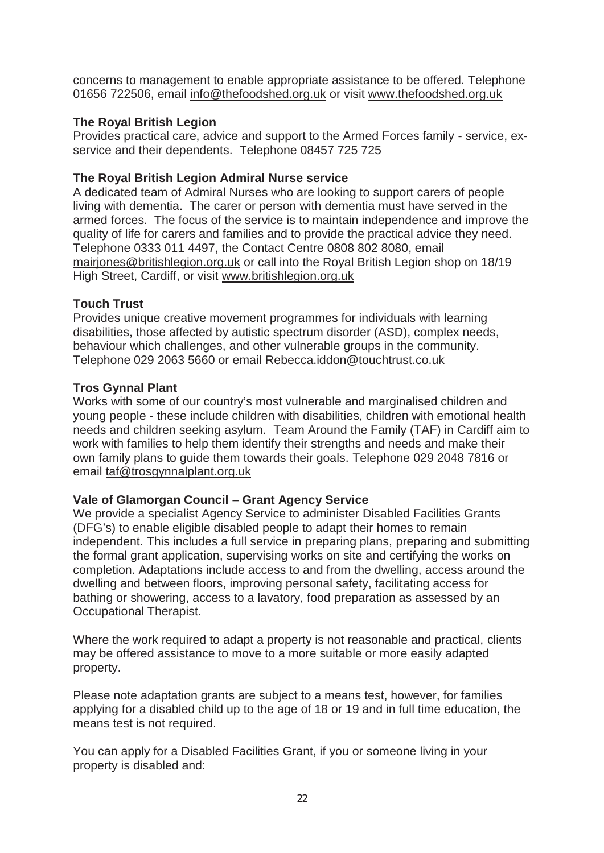concerns to management to enable appropriate assistance to be offered. Telephone 01656 722506, email info@thefoodshed.org.uk or visit www.thefoodshed.org.uk

## **The Royal British Legion**

Provides practical care, advice and support to the Armed Forces family - service, exservice and their dependents. Telephone 08457 725 725

#### **The Royal British Legion Admiral Nurse service**

A dedicated team of Admiral Nurses who are looking to support carers of people living with dementia. The carer or person with dementia must have served in the armed forces. The focus of the service is to maintain independence and improve the quality of life for carers and families and to provide the practical advice they need. Telephone 0333 011 4497, the Contact Centre 0808 802 8080, email mairjones@britishlegion.org.uk or call into the Royal British Legion shop on 18/19 High Street, Cardiff, or visit www.britishlegion.org.uk

## **Touch Trust**

Provides unique creative movement programmes for individuals with learning disabilities, those affected by autistic spectrum disorder (ASD), complex needs, behaviour which challenges, and other vulnerable groups in the community. Telephone 029 2063 5660 or email Rebecca.iddon@touchtrust.co.uk

#### **Tros Gynnal Plant**

Works with some of our country's most vulnerable and marginalised children and young people - these include children with disabilities, children with emotional health needs and children seeking asylum. Team Around the Family (TAF) in Cardiff aim to work with families to help them identify their strengths and needs and make their own family plans to guide them towards their goals. Telephone 029 2048 7816 or email taf@trosgynnalplant.org.uk

#### **Vale of Glamorgan Council – Grant Agency Service**

We provide a specialist Agency Service to administer Disabled Facilities Grants (DFG's) to enable eligible disabled people to adapt their homes to remain independent. This includes a full service in preparing plans, preparing and submitting the formal grant application, supervising works on site and certifying the works on completion. Adaptations include access to and from the dwelling, access around the dwelling and between floors, improving personal safety, facilitating access for bathing or showering, access to a lavatory, food preparation as assessed by an Occupational Therapist.

Where the work required to adapt a property is not reasonable and practical, clients may be offered assistance to move to a more suitable or more easily adapted property.

Please note adaptation grants are subject to a means test, however, for families applying for a disabled child up to the age of 18 or 19 and in full time education, the means test is not required.

You can apply for a Disabled Facilities Grant, if you or someone living in your property is disabled and: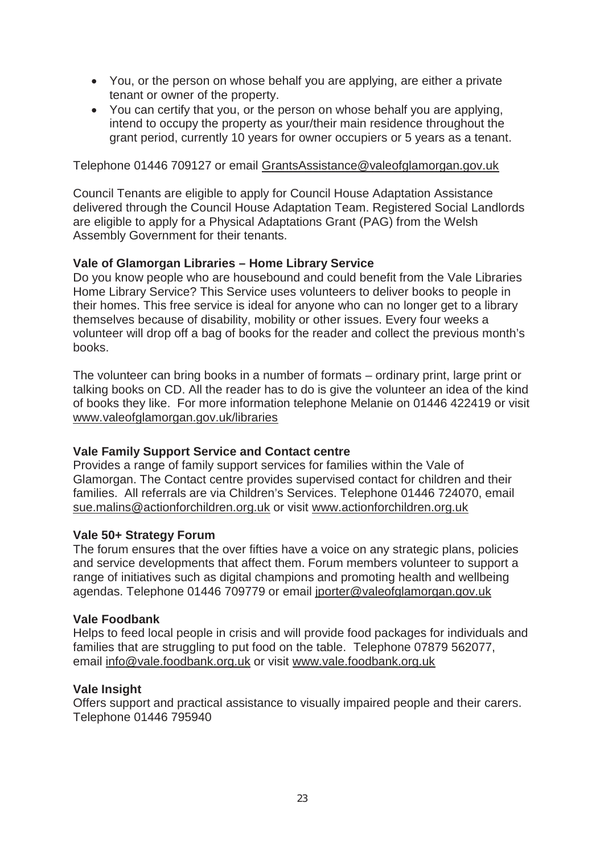- You, or the person on whose behalf you are applying, are either a private tenant or owner of the property.
- You can certify that you, or the person on whose behalf you are applying. intend to occupy the property as your/their main residence throughout the grant period, currently 10 years for owner occupiers or 5 years as a tenant.

Telephone 01446 709127 or email GrantsAssistance@valeofglamorgan.gov.uk

Council Tenants are eligible to apply for Council House Adaptation Assistance delivered through the Council House Adaptation Team. Registered Social Landlords are eligible to apply for a Physical Adaptations Grant (PAG) from the Welsh Assembly Government for their tenants.

## **Vale of Glamorgan Libraries – Home Library Service**

Do you know people who are housebound and could benefit from the Vale Libraries Home Library Service? This Service uses volunteers to deliver books to people in their homes. This free service is ideal for anyone who can no longer get to a library themselves because of disability, mobility or other issues. Every four weeks a volunteer will drop off a bag of books for the reader and collect the previous month's books.

The volunteer can bring books in a number of formats – ordinary print, large print or talking books on CD. All the reader has to do is give the volunteer an idea of the kind of books they like. For more information telephone Melanie on 01446 422419 or visit www.valeofglamorgan.gov.uk/libraries

#### **Vale Family Support Service and Contact centre**

Provides a range of family support services for families within the Vale of Glamorgan. The Contact centre provides supervised contact for children and their families. All referrals are via Children's Services. Telephone 01446 724070, email sue.malins@actionforchildren.org.uk or visit www.actionforchildren.org.uk

#### **Vale 50+ Strategy Forum**

The forum ensures that the over fifties have a voice on any strategic plans, policies and service developments that affect them. Forum members volunteer to support a range of initiatives such as digital champions and promoting health and wellbeing agendas. Telephone 01446 709779 or email jporter@valeofglamorgan.gov.uk

#### **Vale Foodbank**

Helps to feed local people in crisis and will provide food packages for individuals and families that are struggling to put food on the table. Telephone 07879 562077, email info@vale.foodbank.org.uk or visit www.vale.foodbank.org.uk

#### **Vale Insight**

Offers support and practical assistance to visually impaired people and their carers. Telephone 01446 795940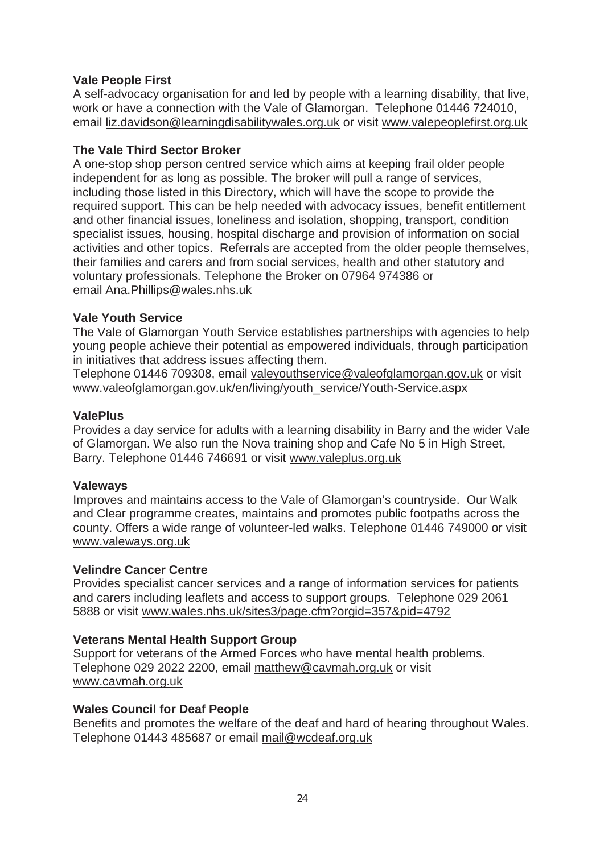## **Vale People First**

A self-advocacy organisation for and led by people with a learning disability, that live, work or have a connection with the Vale of Glamorgan. Telephone 01446 724010, email liz.davidson@learningdisabilitywales.org.uk or visit www.valepeoplefirst.org.uk

## **The Vale Third Sector Broker**

A one-stop shop person centred service which aims at keeping frail older people independent for as long as possible. The broker will pull a range of services, including those listed in this Directory, which will have the scope to provide the required support. This can be help needed with advocacy issues, benefit entitlement and other financial issues, loneliness and isolation, shopping, transport, condition specialist issues, housing, hospital discharge and provision of information on social activities and other topics. Referrals are accepted from the older people themselves, their families and carers and from social services, health and other statutory and voluntary professionals. Telephone the Broker on 07964 974386 or email Ana.Phillips@wales.nhs.uk

#### **Vale Youth Service**

The Vale of Glamorgan Youth Service establishes partnerships with agencies to help young people achieve their potential as empowered individuals, through participation in initiatives that address issues affecting them.

Telephone 01446 709308, email valeyouthservice@valeofglamorgan.gov.uk or visit www.valeofglamorgan.gov.uk/en/living/youth\_service/Youth-Service.aspx

## **ValePlus**

Provides a day service for adults with a learning disability in Barry and the wider Vale of Glamorgan. We also run the Nova training shop and Cafe No 5 in High Street, Barry. Telephone 01446 746691 or visit www.valeplus.org.uk

#### **Valeways**

Improves and maintains access to the Vale of Glamorgan's countryside. Our Walk and Clear programme creates, maintains and promotes public footpaths across the county. Offers a wide range of volunteer-led walks. Telephone 01446 749000 or visit www.valeways.org.uk

#### **Velindre Cancer Centre**

Provides specialist cancer services and a range of information services for patients and carers including leaflets and access to support groups. Telephone 029 2061 5888 or visit www.wales.nhs.uk/sites3/page.cfm?orgid=357&pid=4792

#### **Veterans Mental Health Support Group**

Support for veterans of the Armed Forces who have mental health problems. Telephone 029 2022 2200, email matthew@cavmah.org.uk or visit www.cavmah.org.uk

#### **Wales Council for Deaf People**

Benefits and promotes the welfare of the deaf and hard of hearing throughout Wales. Telephone 01443 485687 or email mail@wcdeaf.org.uk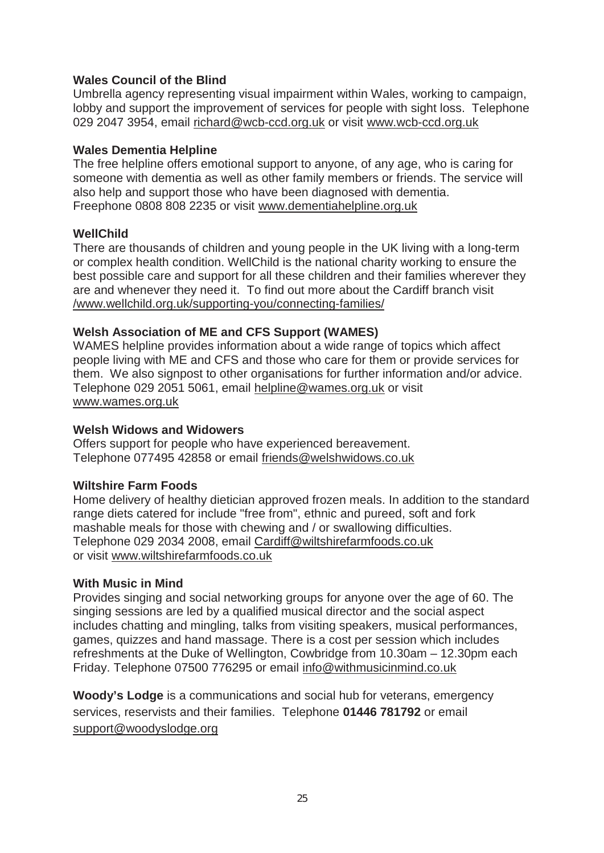## **Wales Council of the Blind**

Umbrella agency representing visual impairment within Wales, working to campaign, lobby and support the improvement of services for people with sight loss. Telephone 029 2047 3954, email richard@wcb-ccd.org.uk or visit www.wcb-ccd.org.uk

#### **Wales Dementia Helpline**

The free helpline offers emotional support to anyone, of any age, who is caring for someone with dementia as well as other family members or friends. The service will also help and support those who have been diagnosed with dementia. Freephone 0808 808 2235 or visit www.dementiahelpline.org.uk

#### **WellChild**

There are thousands of children and young people in the UK living with a long-term or complex health condition. WellChild is the national charity working to ensure the best possible care and support for all these children and their families wherever they are and whenever they need it. To find out more about the Cardiff branch visit /www.wellchild.org.uk/supporting-you/connecting-families/

#### **Welsh Association of ME and CFS Support (WAMES)**

WAMES helpline provides information about a wide range of topics which affect people living with ME and CFS and those who care for them or provide services for them. We also signpost to other organisations for further information and/or advice. Telephone 029 2051 5061, email helpline@wames.org.uk or visit www.wames.org.uk

#### **Welsh Widows and Widowers**

Offers support for people who have experienced bereavement. Telephone 077495 42858 or email friends@welshwidows.co.uk

#### **Wiltshire Farm Foods**

Home delivery of healthy dietician approved frozen meals. In addition to the standard range diets catered for include "free from", ethnic and pureed, soft and fork mashable meals for those with chewing and / or swallowing difficulties. Telephone 029 2034 2008, email Cardiff@wiltshirefarmfoods.co.uk or visit www.wiltshirefarmfoods.co.uk

#### **With Music in Mind**

Provides singing and social networking groups for anyone over the age of 60. The singing sessions are led by a qualified musical director and the social aspect includes chatting and mingling, talks from visiting speakers, musical performances, games, quizzes and hand massage. There is a cost per session which includes refreshments at the Duke of Wellington, Cowbridge from 10.30am – 12.30pm each Friday. Telephone 07500 776295 or email info@withmusicinmind.co.uk

**Woody's Lodge** is a communications and social hub for veterans, emergency services, reservists and their families. Telephone **01446 781792** or email support@woodyslodge.org